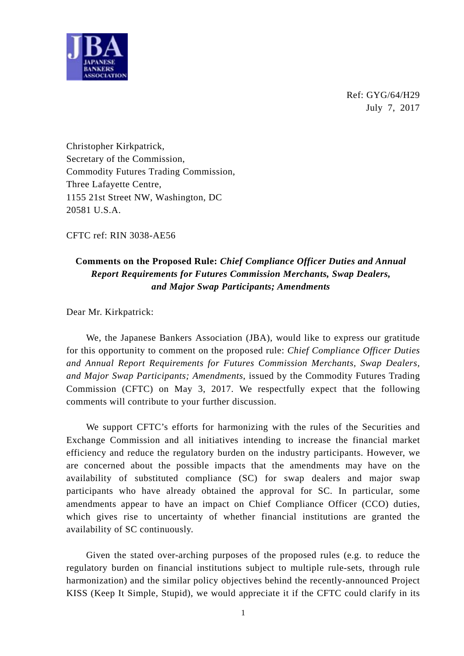

Ref: GYG/64/H29 July 7, 2017

Christopher Kirkpatrick, Secretary of the Commission, Commodity Futures Trading Commission, Three Lafayette Centre, 1155 21st Street NW, Washington, DC 20581 U.S.A.

CFTC ref: RIN 3038-AE56

## **Comments on the Proposed Rule:** *Chief Compliance Officer Duties and Annual Report Requirements for Futures Commission Merchants, Swap Dealers, and Major Swap Participants; Amendments*

Dear Mr. Kirkpatrick:

We, the Japanese Bankers Association (JBA), would like to express our gratitude for this opportunity to comment on the proposed rule: *Chief Compliance Officer Duties and Annual Report Requirements for Futures Commission Merchants, Swap Dealers, and Major Swap Participants; Amendments*, issued by the Commodity Futures Trading Commission (CFTC) on May 3, 2017. We respectfully expect that the following comments will contribute to your further discussion.

We support CFTC's efforts for harmonizing with the rules of the Securities and Exchange Commission and all initiatives intending to increase the financial market efficiency and reduce the regulatory burden on the industry participants. However, we are concerned about the possible impacts that the amendments may have on the availability of substituted compliance (SC) for swap dealers and major swap participants who have already obtained the approval for SC. In particular, some amendments appear to have an impact on Chief Compliance Officer (CCO) duties, which gives rise to uncertainty of whether financial institutions are granted the availability of SC continuously.

Given the stated over-arching purposes of the proposed rules (e.g. to reduce the regulatory burden on financial institutions subject to multiple rule-sets, through rule harmonization) and the similar policy objectives behind the recently-announced Project KISS (Keep It Simple, Stupid), we would appreciate it if the CFTC could clarify in its